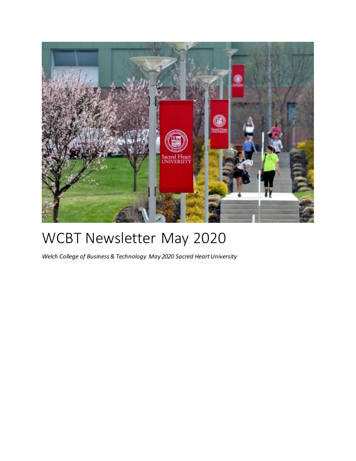

# WCBT Newsletter May 2020

*Welch College of Business & Technology May 2020 Sacred Heart University*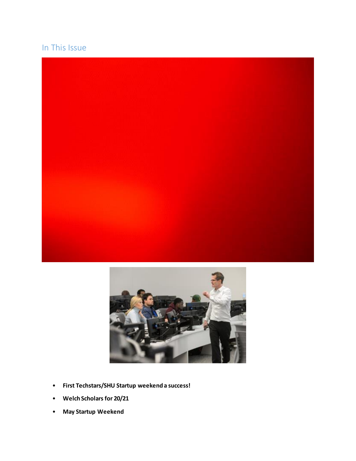### In This Issue





- **First Techstars/SHU Startup weekend a success!**
- **Welch Scholars for 20/21**
- **May Startup Weekend**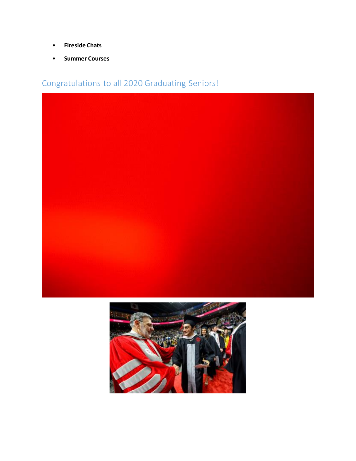- **Fireside Chats**
- **Summer Courses**

Congratulations to all 2020 Graduating Seniors!



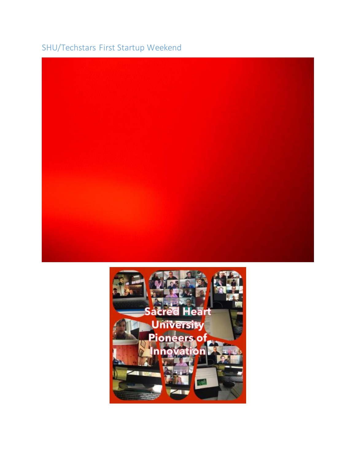## SHU/Techstars First Startup Weekend



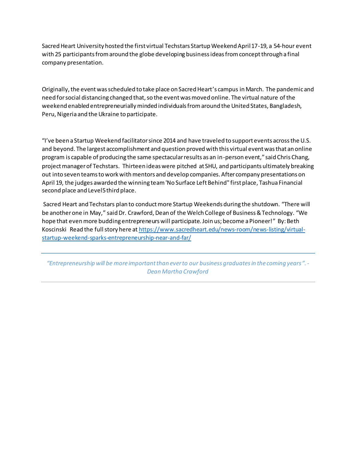Sacred Heart University hosted the first virtual Techstars Startup Weekend April 17-19, a 54-hour event with 25 participants from around the globe developing business ideas from concept through a final company presentation.

Originally, the event was scheduled to take place on Sacred Heart's campus in March. The pandemic and need for social distancing changed that, so the event was moved online. The virtual nature of the weekend enabled entrepreneurially minded individuals from around the United States, Bangladesh, Peru, Nigeria and the Ukraine to participate.

"I've been a Startup Weekend facilitator since 2014 and have traveled to support events across the U.S. and beyond. The largest accomplishment and question proved with this virtual event was that an online program is capable of producing the same spectacular results as an in-person event," said Chris Chang, project manager of Techstars. Thirteen ideas were pitched at SHU, and participants ultimately breaking out into seven teams to work with mentors and develop companies. After company presentations on April 19, the judges awarded the winning team 'No Surface Left Behind" first place, Tashua Financial second place and Level5 third place.

Sacred Heart and Techstars plan to conduct more Startup Weekends during the shutdown. "There will be another one in May," said Dr. Crawford, Dean of the Welch College of Business & Technology. "We hope that even more budding entrepreneurs will participate. Join us; become a Pioneer!" By: Beth Koscinski Read the full story here at https://www.sacredheart.edu/news-room/news-listing/virtualstartup-weekend-sparks-entrepreneurship-near-and-far/

*"Entrepreneurship will be more important than ever to our business graduates in the coming years ". - Dean Martha Crawford*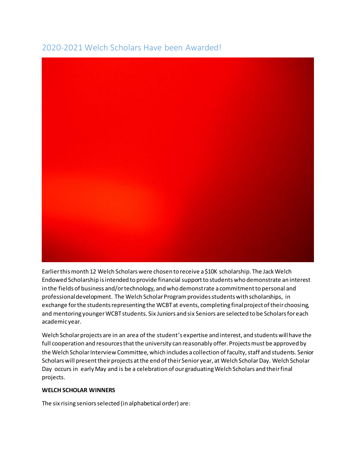## 2020-2021 Welch Scholars Have been Awarded!



Earlier this month 12 Welch Scholars were chosen to receive a \$10K scholarship. The Jack Welch Endowed Scholarship is intended to provide financial support to students who demonstrate an interest in the fields of business and/or technology, and who demonstrate a commitment to personal and professional development. The Welch Scholar Program provides students with scholarships, in exchange for the students representing the WCBT at events, completing final project of their choosing, and mentoring younger WCBT students. Six Juniors and six Seniors are selected to be Scholars for each academic year.

Welch Scholar projects are in an area of the student's expertise and interest, and students will have the full cooperation and resources that the university can reasonably offer. Projects must be approved by the Welch Scholar Interview Committee, which includes a collection of faculty, staff and students. Senior Scholars will present their projects at the end of their Senior year, at Welch Scholar Day. Welch Scholar Day occurs in early May and is be a celebration of our graduating Welch Scholars and their final projects.

#### **WELCH SCHOLAR WINNERS**

The six rising seniors selected (in alphabetical order) are: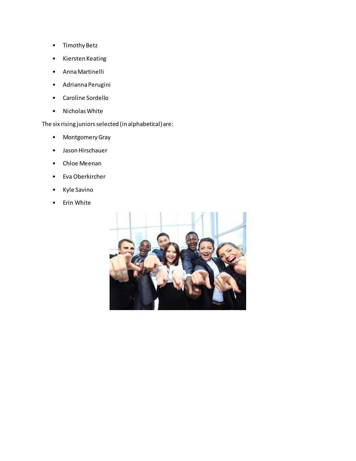- Timothy Betz
- Kiersten Keating
- Anna Martinelli
- Adrianna Perugini
- Caroline Sordello
- Nicholas White

The six rising juniors selected (in alphabetical) are:

- Montgomery Gray
- Jason Hirschauer
- Chloe Meenan
- Eva Oberkircher
- Kyle Savino
- Erin White

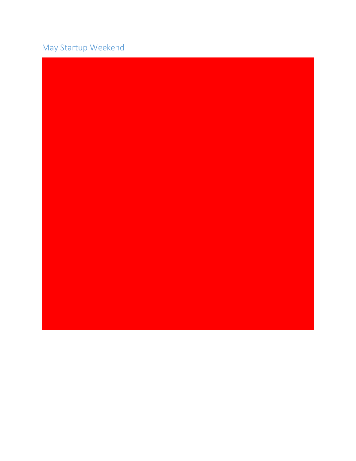## May Startup Weekend

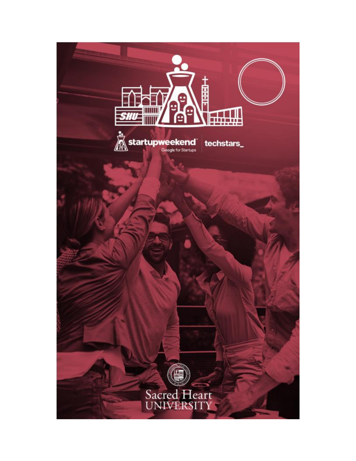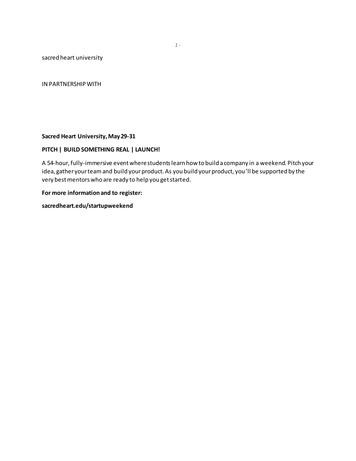sacred heart university

IN PARTNERSHIP WITH

#### **Sacred Heart University, May 29-31**

#### **PITCH | BUILD SOMETHING REAL | LAUNCH!**

A 54-hour, fully-immersive event where students learn how to build a company in a weekend. Pitch your idea, gather your team and build your product. As you build your product, you'll be supported by the very best mentors who are ready to help you get started.

#### **For more information and to register:**

**sacredheart.edu/startupweekend**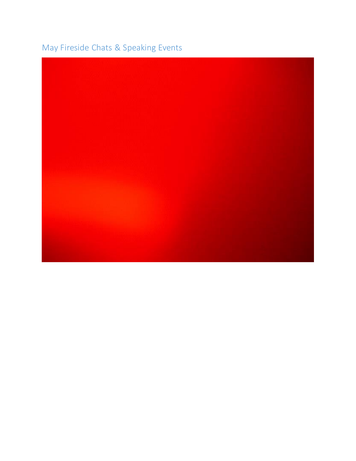## May Fireside Chats & Speaking Events

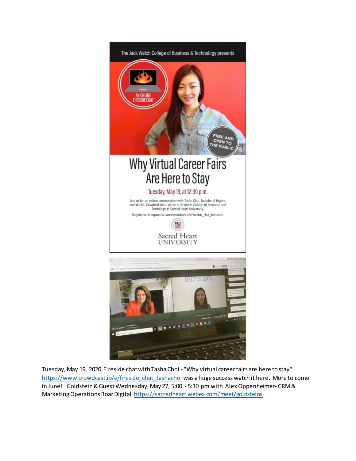

Tuesday, May 19, 2020 Fireside chat with Tasha Choi - "Why virtual career fairs are here to stay" https://www.crowdcast.io/e/fireside\_chat\_tashachoi was a huge success watch it here. More to come in June! Goldstein & Guest Wednesday, May 27, 5:00 - 5:30 pm with Alex Oppenheimer- CRM & Marketing Operations Roar Digital https://sacredheart.webex.com/meet/goldsteins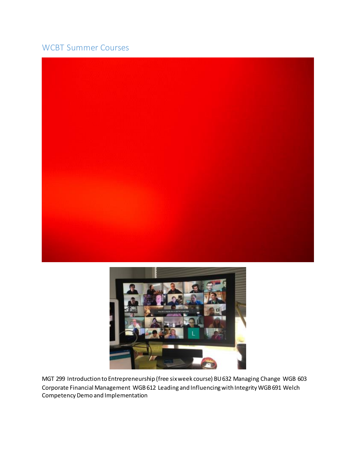### WCBT Summer Courses





MGT 299 Introduction to Entrepreneurship (free six week course) BU 632 Managing Change WGB 603 Corporate Financial Management WGB 612 Leading and Influencing with Integrity WGB 691 Welch Competency Demo and Implementation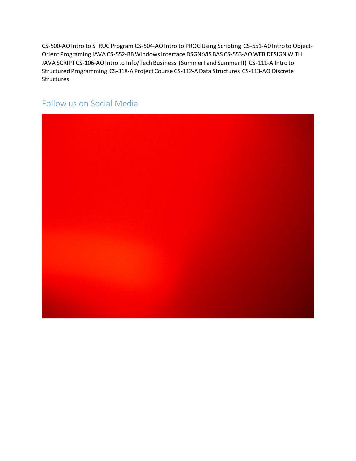CS-500-AO Intro to STRUC Program CS-504-AO Intro to PROG Using Scripting CS-551-A0 Intro to Object-Orient Programing JAVA CS-552-BB Windows Interface DSGN:VIS BAS CS-553-AO WEB DESIGN WITH JAVA SCRIPT CS-106-AO Intro to Info/Tech Business (Summer I and Summer II) CS-111-A Intro to Structured Programming CS-318-A Project Course CS-112-A Data Structures CS-113-AO Discrete **Structures** 

### Follow us on Social Media

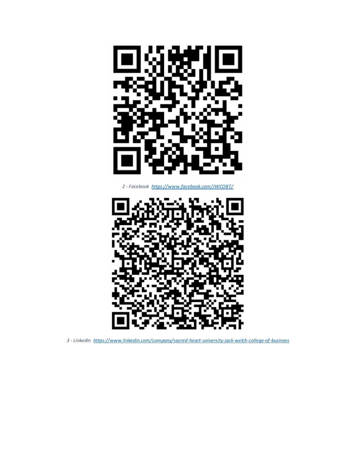

*- Facebook https://www.facebook.com/JWCOBT/*



*- LinkedIn https://www.linkedin.com/company/sacred-heart-university-jack-welch-college-of-business*